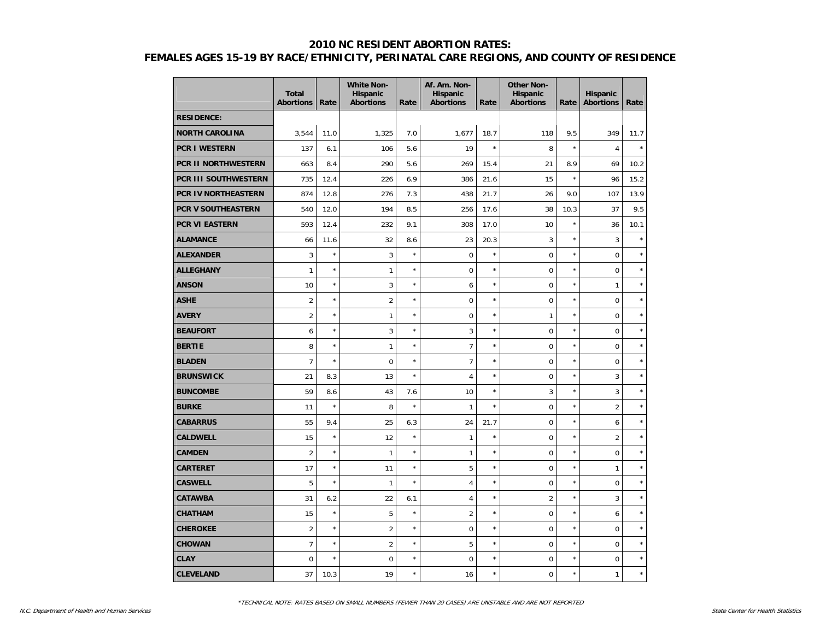|                            | <b>Total</b><br><b>Abortions</b> | Rate       | <b>White Non-</b><br><b>Hispanic</b><br><b>Abortions</b> | Rate       | Af. Am. Non-<br><b>Hispanic</b><br><b>Abortions</b> | Rate       | <b>Other Non-</b><br>Hispanic<br><b>Abortions</b> | Rate    | Hispanic<br><b>Abortions</b> | Rate    |
|----------------------------|----------------------------------|------------|----------------------------------------------------------|------------|-----------------------------------------------------|------------|---------------------------------------------------|---------|------------------------------|---------|
| <b>RESIDENCE:</b>          |                                  |            |                                                          |            |                                                     |            |                                                   |         |                              |         |
| <b>NORTH CAROLINA</b>      | 3,544                            | 11.0       | 1,325                                                    | 7.0        | 1,677                                               | 18.7       | 118                                               | 9.5     | 349                          | 11.7    |
| <b>PCR I WESTERN</b>       | 137                              | 6.1        | 106                                                      | 5.6        | 19                                                  | $\star$    | 8                                                 | $\star$ | $\overline{4}$               | $\star$ |
| <b>PCR II NORTHWESTERN</b> | 663                              | 8.4        | 290                                                      | 5.6        | 269                                                 | 15.4       | 21                                                | 8.9     | 69                           | 10.2    |
| PCR III SOUTHWESTERN       | 735                              | 12.4       | 226                                                      | 6.9        | 386                                                 | 21.6       | 15                                                | $\star$ | 96                           | 15.2    |
| <b>PCR IV NORTHEASTERN</b> | 874                              | 12.8       | 276                                                      | 7.3        | 438                                                 | 21.7       | 26                                                | 9.0     | 107                          | 13.9    |
| PCR V SOUTHEASTERN         | 540                              | 12.0       | 194                                                      | 8.5        | 256                                                 | 17.6       | 38                                                | 10.3    | 37                           | 9.5     |
| <b>PCR VI EASTERN</b>      | 593                              | 12.4       | 232                                                      | 9.1        | 308                                                 | 17.0       | 10                                                | $\star$ | 36                           | 10.1    |
| <b>ALAMANCE</b>            | 66                               | 11.6       | 32                                                       | 8.6        | 23                                                  | 20.3       | 3                                                 | $\star$ | 3                            | $\star$ |
| <b>ALEXANDER</b>           | 3                                | $\star$    | 3                                                        | $\star$    | $\mathbf 0$                                         | ×          | $\mathbf 0$                                       | ×       | $\mathbf 0$                  | $\star$ |
| <b>ALLEGHANY</b>           | $\mathbf{1}$                     | $\star$    | $\mathbf{1}$                                             | $^{\star}$ | $\mathbf 0$                                         | $^{\star}$ | $\overline{0}$                                    | ×       | $\mathbf 0$                  | $\star$ |
| <b>ANSON</b>               | 10                               | $\star$    | 3                                                        | $\star$    | 6                                                   | $^{\star}$ | $\mathbf 0$                                       | $\star$ | $\mathbf{1}$                 | $\star$ |
| ASHE                       | $\overline{2}$                   | $\star$    | $\overline{2}$                                           | $\star$    | $\mathbf 0$                                         | $\star$    | $\mathbf 0$                                       | $\star$ | $\boldsymbol{0}$             | $\star$ |
| <b>AVERY</b>               | $\overline{2}$                   | $\star$    | $\mathbf{1}$                                             | $\star$    | $\mathbf 0$                                         | $^{\star}$ | 1                                                 | $\star$ | $\mathbf 0$                  | $\star$ |
| <b>BEAUFORT</b>            | 6                                | $\star$    | 3                                                        | $\star$    | 3                                                   | $^{\star}$ | $\overline{0}$                                    | ×       | $\mathbf 0$                  | $\star$ |
| <b>BERTIE</b>              | 8                                | $\star$    | $\mathbf{1}$                                             | $\star$    | $\overline{7}$                                      | $^{\star}$ | $\overline{0}$                                    | $\star$ | $\mathbf 0$                  | $\star$ |
| <b>BLADEN</b>              | $\overline{7}$                   | $\star$    | $\mathbf 0$                                              | $\star$    | $\overline{7}$                                      | $^{\star}$ | $\mathbf 0$                                       | ×       | $\boldsymbol{0}$             | $\star$ |
| <b>BRUNSWICK</b>           | 21                               | 8.3        | 13                                                       | $\star$    | $\overline{4}$                                      | $\star$    | $\mathbf 0$                                       | $\star$ | 3                            | $\star$ |
| <b>BUNCOMBE</b>            | 59                               | 8.6        | 43                                                       | 7.6        | 10                                                  | $\star$    | 3                                                 | $\star$ | 3                            | $\star$ |
| <b>BURKE</b>               | 11                               | $\star$    | 8                                                        | $\star$    | $\mathbf{1}$                                        | ×          | $\overline{0}$                                    | ×       | $\overline{2}$               | $\star$ |
| <b>CABARRUS</b>            | 55                               | 9.4        | 25                                                       | 6.3        | 24                                                  | 21.7       | $\mathbf 0$                                       | ×       | 6                            | $\star$ |
| <b>CALDWELL</b>            | 15                               | $\star$    | 12                                                       | $\star$    | $\mathbf{1}$                                        | $\star$    | $\mathbf 0$                                       | $\star$ | $\overline{2}$               | $\star$ |
| <b>CAMDEN</b>              | $\overline{2}$                   | $\star$    | 1                                                        | $\star$    | $\mathbf{1}$                                        | $\star$    | $\mathbf 0$                                       | $\star$ | $\mathbf 0$                  | $\star$ |
| CARTERET                   | 17                               | $\star$    | 11                                                       | $\star$    | 5                                                   | $\star$    | $\mathbf 0$                                       | $\star$ | 1                            | $\star$ |
| <b>CASWELL</b>             | 5                                | $\star$    | $\mathbf{1}$                                             | $\star$    | $\overline{4}$                                      | $\star$    | $\overline{0}$                                    | $\star$ | $\mathbf 0$                  | $\star$ |
| <b>CATAWBA</b>             | 31                               | 6.2        | 22                                                       | 6.1        | $\overline{4}$                                      | $^{\star}$ | $\overline{2}$                                    | $\star$ | 3                            | $\star$ |
| <b>CHATHAM</b>             | 15                               | $\star$    | 5                                                        | $\star$    | $\overline{2}$                                      | $^{\star}$ | $\mathbf 0$                                       | $\star$ | 6                            | $\star$ |
| <b>CHEROKEE</b>            | $\overline{2}$                   | $^{\star}$ | $\overline{2}$                                           | $\star$    | $\mathbf 0$                                         | $\star$    | $\mathbf 0$                                       | $\star$ | $\mathbf 0$                  | $\star$ |
| <b>CHOWAN</b>              | $\overline{7}$                   | $\star$    | $\overline{2}$                                           | $\star$    | 5                                                   | $\star$    | $\overline{0}$                                    | $\star$ | $\mathbf 0$                  | $\star$ |
| <b>CLAY</b>                | 0                                | $\star$    | $\mathbf 0$                                              | $\star$    | $\mathbf 0$                                         | $^{\star}$ | $\mathbf 0$                                       | $\star$ | $\mathbf 0$                  | $\star$ |
| <b>CLEVELAND</b>           | 37                               | 10.3       | 19                                                       | $\star$    | 16                                                  | $\star$    | $\mathbf 0$                                       | $\star$ | $\mathbf{1}$                 | $\star$ |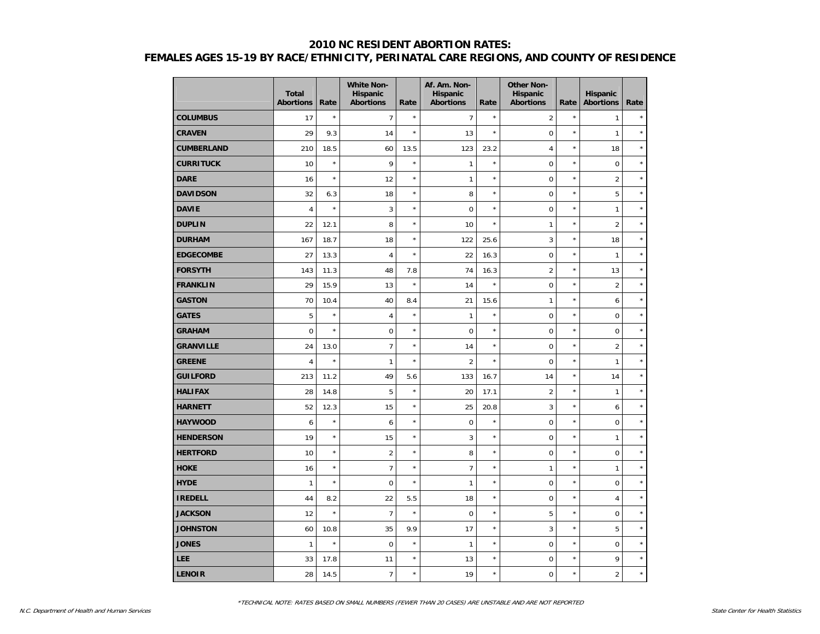|                   | <b>Total</b><br><b>Abortions</b> | Rate    | <b>White Non-</b><br><b>Hispanic</b><br><b>Abortions</b> | Rate       | Af. Am. Non-<br><b>Hispanic</b><br><b>Abortions</b> | Rate       | <b>Other Non-</b><br>Hispanic<br><b>Abortions</b> | Rate    | <b>Hispanic</b><br><b>Abortions</b> | Rate       |
|-------------------|----------------------------------|---------|----------------------------------------------------------|------------|-----------------------------------------------------|------------|---------------------------------------------------|---------|-------------------------------------|------------|
| <b>COLUMBUS</b>   | 17                               | $\star$ | $\overline{7}$                                           | $\star$    | $\overline{7}$                                      | $\star$    | $\overline{2}$                                    | $\star$ | $\mathbf{1}$                        | $\star$    |
| <b>CRAVEN</b>     | 29                               | 9.3     | 14                                                       | $\star$    | 13                                                  | $\star$    | 0                                                 | $\star$ | $\mathbf{1}$                        | $\star$    |
| <b>CUMBERLAND</b> | 210                              | 18.5    | 60                                                       | 13.5       | 123                                                 | 23.2       | $\overline{4}$                                    | $\star$ | 18                                  | $\star$    |
| <b>CURRITUCK</b>  | 10                               | $\star$ | 9                                                        | $\star$    | $\mathbf{1}$                                        | $\star$    | $\overline{0}$                                    | $\star$ | $\mathbf 0$                         | $\star$    |
| <b>DARE</b>       | 16                               | $\star$ | 12                                                       | $\star$    | $\mathbf{1}$                                        | $\star$    | $\pmb{0}$                                         | $\star$ | $\overline{2}$                      | $\star$    |
| <b>DAVIDSON</b>   | 32                               | 6.3     | 18                                                       | $\star$    | 8                                                   | $\star$    | $\mathbf 0$                                       | $\star$ | 5                                   | $\star$    |
| <b>DAVIE</b>      | $\overline{4}$                   | $\star$ | 3                                                        | $^{\star}$ | $\mathbf 0$                                         | $\star$    | $\mathbf 0$                                       | $\star$ | $\mathbf{1}$                        | $\star$    |
| <b>DUPLIN</b>     | 22                               | 12.1    | 8                                                        | $\star$    | 10                                                  | $\star$    | 1                                                 | $\star$ | $\overline{2}$                      | $\star$    |
| <b>DURHAM</b>     | 167                              | 18.7    | 18                                                       | $^{\star}$ | 122                                                 | 25.6       | 3                                                 | $\star$ | 18                                  | $\star$    |
| <b>EDGECOMBE</b>  | 27                               | 13.3    | $\overline{4}$                                           | $^{\star}$ | 22                                                  | 16.3       | $\mathbf 0$                                       | $\star$ | $\mathbf{1}$                        | $\star$    |
| <b>FORSYTH</b>    | 143                              | 11.3    | 48                                                       | 7.8        | 74                                                  | 16.3       | $\overline{2}$                                    | $\star$ | 13                                  | $\star$    |
| <b>FRANKLIN</b>   | 29                               | 15.9    | 13                                                       | $\star$    | 14                                                  | $\star$    | $\pmb{0}$                                         | $\star$ | $\overline{2}$                      | $\star$    |
| <b>GASTON</b>     | 70                               | 10.4    | 40                                                       | 8.4        | 21                                                  | 15.6       | 1                                                 | $\star$ | 6                                   | $\star$    |
| <b>GATES</b>      | 5                                | $\star$ | $\overline{4}$                                           | $\star$    | $\mathbf{1}$                                        | $^{\star}$ | $\mathbf 0$                                       | $\star$ | $\mathsf{O}\xspace$                 | $^{\star}$ |
| <b>GRAHAM</b>     | $\mathbf 0$                      | $\star$ | $\mathbf 0$                                              | $^{\star}$ | $\mathbf 0$                                         | $\star$    | $\mathbf 0$                                       | $\star$ | $\mathbf 0$                         | $\star$    |
| <b>GRANVILLE</b>  | 24                               | 13.0    | $\overline{7}$                                           | $^{\star}$ | 14                                                  | $\star$    | $\mathbf 0$                                       | $\star$ | $\overline{2}$                      | $\star$    |
| <b>GREENE</b>     | $\overline{4}$                   | $\star$ | $\mathbf{1}$                                             | $\star$    | $\overline{2}$                                      | $\star$    | $\mathbf 0$                                       | $\star$ | $\mathbf{1}$                        | $\star$    |
| <b>GUILFORD</b>   | 213                              | 11.2    | 49                                                       | 5.6        | 133                                                 | 16.7       | 14                                                | $\star$ | 14                                  | $\star$    |
| <b>HALIFAX</b>    | 28                               | 14.8    | 5                                                        | $\star$    | 20                                                  | 17.1       | $\overline{2}$                                    | $\star$ | $\mathbf{1}$                        | $\star$    |
| <b>HARNETT</b>    | 52                               | 12.3    | 15                                                       | $^{\star}$ | 25                                                  | 20.8       | 3                                                 | $\star$ | 6                                   | $\star$    |
| <b>HAYWOOD</b>    | 6                                | $\star$ | 6                                                        | $^{\star}$ | $\mathbf 0$                                         | $\star$    | $\mathbf 0$                                       | $\star$ | $\mathbf 0$                         | $\star$    |
| <b>HENDERSON</b>  | 19                               | $\star$ | 15                                                       | $\star$    | 3                                                   | $\star$    | $\mathbf 0$                                       | $\star$ | $\mathbf{1}$                        | $\star$    |
| <b>HERTFORD</b>   | 10                               | $\star$ | $\overline{2}$                                           | $^{\star}$ | 8                                                   | $\star$    | $\mathbf 0$                                       | $\star$ | $\mathbf 0$                         | $\star$    |
| <b>HOKE</b>       | 16                               | $\star$ | $\overline{7}$                                           | $\star$    | $\overline{7}$                                      | $\star$    | 1                                                 | $\star$ | $\mathbf{1}$                        | $\star$    |
| <b>HYDE</b>       | $\mathbf{1}$                     | $\star$ | $\mathbf 0$                                              | $\star$    | $\mathbf{1}$                                        | $\star$    | $\pmb{0}$                                         | $\star$ | $\mathbf 0$                         | $\star$    |
| <b>IREDELL</b>    | 44                               | 8.2     | 22                                                       | 5.5        | 18                                                  | $\star$    | $\mathbf 0$                                       | $\star$ | $\overline{4}$                      | $\star$    |
| <b>JACKSON</b>    | 12                               | $\star$ | $\overline{7}$                                           | $\star$    | $\mathbf 0$                                         | $\star$    | 5                                                 | $\star$ | $\mathbf 0$                         | $\star$    |
| <b>JOHNSTON</b>   | 60                               | 10.8    | 35                                                       | 9.9        | 17                                                  | $\star$    | 3                                                 | $\star$ | 5                                   | $\star$    |
| <b>JONES</b>      | $\mathbf{1}$                     | $\star$ | $\mathbf 0$                                              | $\star$    | $\mathbf{1}$                                        | $\star$    | $\mathbf 0$                                       | $\star$ | $\mathbf 0$                         | $\star$    |
| <b>LEE</b>        | 33                               | 17.8    | 11                                                       | $^{\star}$ | 13                                                  | $\star$    | 0                                                 | $\star$ | 9                                   | $\star$    |
| <b>LENOIR</b>     | 28                               | 14.5    | $\overline{7}$                                           | $\star$    | 19                                                  | $\star$    | 0                                                 | $\star$ | $\overline{2}$                      | $\star$    |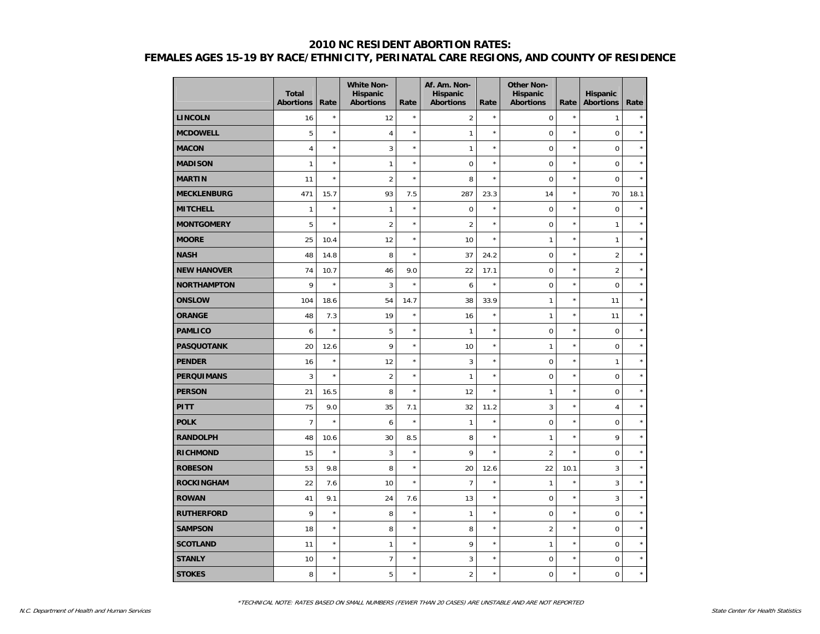|                    | <b>Total</b><br><b>Abortions</b> | Rate    | <b>White Non-</b><br>Hispanic<br><b>Abortions</b> | Rate    | Af. Am. Non-<br>Hispanic<br><b>Abortions</b> | Rate       | <b>Other Non-</b><br><b>Hispanic</b><br><b>Abortions</b> | Rate       | <b>Hispanic</b><br><b>Abortions</b> | Rate       |
|--------------------|----------------------------------|---------|---------------------------------------------------|---------|----------------------------------------------|------------|----------------------------------------------------------|------------|-------------------------------------|------------|
| <b>LINCOLN</b>     | 16                               | $\star$ | 12                                                | $\star$ | $\overline{2}$                               | $\star$    | $\pmb{0}$                                                | $\star$    | $\mathbf{1}$                        | $\star$    |
| <b>MCDOWELL</b>    | 5                                | $\star$ | $\overline{4}$                                    | $\star$ | $\mathbf{1}$                                 | $\star$    | $\mathbf 0$                                              | $\star$    | $\mathbf 0$                         | $\star$    |
| <b>MACON</b>       | $\overline{4}$                   | $\star$ | 3                                                 | $\star$ | $\mathbf{1}$                                 | $\star$    | $\mathbf 0$                                              | $\star$    | $\mathbf 0$                         | $\star$    |
| <b>MADISON</b>     | $\mathbf{1}$                     | $\star$ | $\mathbf{1}$                                      | $\star$ | $\mathbf 0$                                  | $\star$    | $\mathbf 0$                                              | $\star$    | $\mathbf 0$                         | $\star$    |
| <b>MARTIN</b>      | 11                               | $\star$ | $\overline{2}$                                    | $\star$ | 8                                            | $\star$    | $\mathbf 0$                                              | $\star$    | $\mathbf 0$                         | $\star$    |
| <b>MECKLENBURG</b> | 471                              | 15.7    | 93                                                | 7.5     | 287                                          | 23.3       | 14                                                       | $\star$    | 70                                  | 18.1       |
| <b>MITCHELL</b>    | $\mathbf{1}$                     | $\star$ | $\mathbf{1}$                                      | $\star$ | $\mathbf 0$                                  | $\star$    | $\mathbf 0$                                              | $\star$    | $\mathbf 0$                         | $\star$    |
| <b>MONTGOMERY</b>  | 5                                | $\star$ | $\overline{2}$                                    | $\star$ | $\overline{2}$                               | $\star$    | $\mathbf 0$                                              | $\star$    | $\mathbf{1}$                        | $\star$    |
| <b>MOORE</b>       | 25                               | 10.4    | 12                                                | $\star$ | 10                                           | $\star$    | 1                                                        | $\star$    | $\mathbf{1}$                        | $\star$    |
| <b>NASH</b>        | 48                               | 14.8    | 8                                                 | $\star$ | 37                                           | 24.2       | $\mathbf 0$                                              | $\star$    | $\overline{2}$                      | $\star$    |
| <b>NEW HANOVER</b> | 74                               | 10.7    | 46                                                | 9.0     | 22                                           | 17.1       | $\mathbf 0$                                              | $\star$    | $\overline{2}$                      | $\star$    |
| <b>NORTHAMPTON</b> | 9                                | $\star$ | 3                                                 | $\star$ | 6                                            | $\star$    | $\mathbf 0$                                              | $\star$    | $\mathbf 0$                         | $\star$    |
| <b>ONSLOW</b>      | 104                              | 18.6    | 54                                                | 14.7    | 38                                           | 33.9       | 1                                                        | $\star$    | 11                                  | $\star$    |
| <b>ORANGE</b>      | 48                               | 7.3     | 19                                                | $\star$ | 16                                           | $\star$    | 1                                                        | $\star$    | 11                                  | $^{\star}$ |
| <b>PAMLICO</b>     | 6                                | $\star$ | 5                                                 | $\star$ | $\mathbf{1}$                                 | $^{\star}$ | $\mathbf 0$                                              | $\star$    | $\mathbf 0$                         | $\star$    |
| <b>PASQUOTANK</b>  | 20                               | 12.6    | 9                                                 | $\star$ | 10                                           | $^{\star}$ | 1                                                        | $\star$    | $\mathbf 0$                         | $\star$    |
| <b>PENDER</b>      | 16                               | $\star$ | 12                                                | $\star$ | 3                                            | $\star$    | $\mathbf 0$                                              | $\star$    | $\mathbf{1}$                        | $\star$    |
| <b>PERQUIMANS</b>  | 3                                | $\star$ | $\overline{2}$                                    | $\star$ | $\mathbf{1}$                                 | $^{\star}$ | $\mathbf 0$                                              | $\star$    | $\boldsymbol{0}$                    | $\star$    |
| <b>PERSON</b>      | 21                               | 16.5    | 8                                                 | $\star$ | 12                                           | $\star$    | 1                                                        | $\star$    | $\mathbf 0$                         | $\star$    |
| <b>PITT</b>        | 75                               | 9.0     | 35                                                | 7.1     | 32                                           | 11.2       | 3                                                        | ×          | $\overline{4}$                      | $\star$    |
| <b>POLK</b>        | $\overline{7}$                   | $\star$ | 6                                                 | $\star$ | $\mathbf{1}$                                 | $\star$    | $\mathbf 0$                                              | $\star$    | $\mathbf 0$                         | $\star$    |
| <b>RANDOLPH</b>    | 48                               | 10.6    | 30                                                | 8.5     | 8                                            | $^{\star}$ | $\mathbf{1}$                                             | $\star$    | 9                                   | $\star$    |
| <b>RICHMOND</b>    | 15                               | $\star$ | 3                                                 | $\star$ | 9                                            | $\star$    | $\overline{2}$                                           | $\star$    | $\mathbf 0$                         | $\star$    |
| <b>ROBESON</b>     | 53                               | 9.8     | 8                                                 | $\star$ | 20                                           | 12.6       | 22                                                       | 10.1       | 3                                   | $\star$    |
| <b>ROCKINGHAM</b>  | 22                               | 7.6     | 10                                                | $\star$ | $\overline{7}$                               | $^{\star}$ | $\mathbf{1}$                                             | $\star$    | 3                                   | $\star$    |
| <b>ROWAN</b>       | 41                               | 9.1     | 24                                                | 7.6     | 13                                           | $\star$    | $\mathbf 0$                                              | $\star$    | 3                                   | $\star$    |
| <b>RUTHERFORD</b>  | 9                                | $\star$ | 8                                                 | $\star$ | $\mathbf{1}$                                 | $^{\star}$ | $\mathbf 0$                                              | $^{\star}$ | $\mathbf 0$                         | $\star$    |
| <b>SAMPSON</b>     | 18                               | $\star$ | 8                                                 | $\star$ | 8                                            | $\star$    | $\overline{2}$                                           | $\star$    | $\mathbf 0$                         | $\star$    |
| <b>SCOTLAND</b>    | 11                               | $\star$ | $\mathbf{1}$                                      | $\star$ | 9                                            | $^{\star}$ | 1                                                        | $\star$    | $\mathbf 0$                         | $\star$    |
| <b>STANLY</b>      | 10                               | $\star$ | $\overline{7}$                                    | $\star$ | 3                                            | $^{\star}$ | $\mathbf 0$                                              | $\star$    | $\mathbf 0$                         | $\star$    |
| <b>STOKES</b>      | 8                                | $\star$ | 5                                                 | $\star$ | $\overline{2}$                               | $\star$    | $\mathbf 0$                                              | $\star$    | $\mathbf 0$                         | $\star$    |